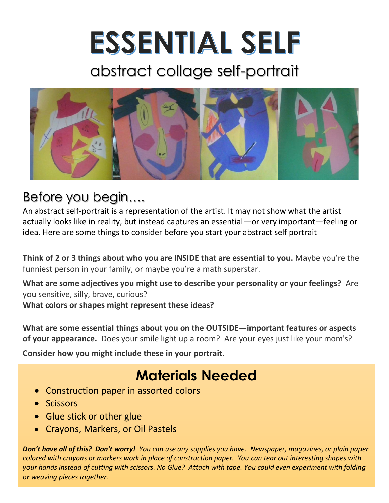# ESSENTIAL SELF

## abstract collage self-portrait



#### Before you begin….

An abstract self-portrait is a representation of the artist. It may not show what the artist actually looks like in reality, but instead captures an essential—or very important—feeling or idea. Here are some things to consider before you start your abstract self portrait

**Think of 2 or 3 things about who you are INSIDE that are essential to you.** Maybe you're the funniest person in your family, or maybe you're a math superstar.

**What are some adjectives you might use to describe your personality or your feelings?** Are you sensitive, silly, brave, curious? **What colors or shapes might represent these ideas?**

**What are some essential things about you on the OUTSIDE—important features or aspects of your appearance.** Does your smile light up a room? Are your eyes just like your mom's?

**Consider how you might include these in your portrait.** 

#### **Materials Needed**

- Construction paper in assorted colors
- Scissors
- Glue stick or other glue
- Crayons, Markers, or Oil Pastels

*Don't have all of this? Don't worry! You can use any supplies you have. Newspaper, magazines, or plain paper colored with crayons or markers work in place of construction paper. You can tear out interesting shapes with your hands instead of cutting with scissors. No Glue? Attach with tape. You could even experiment with folding or weaving pieces together.*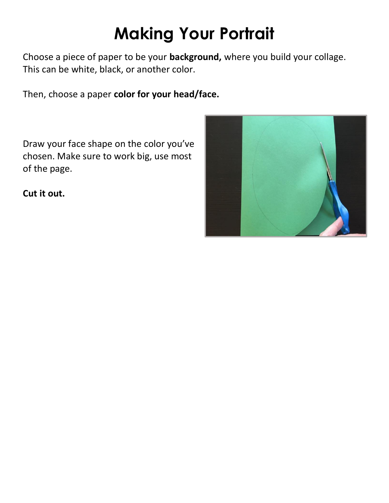# **Making Your Portrait**

Choose a piece of paper to be your **background,** where you build your collage. This can be white, black, or another color.

Then, choose a paper **color for your head/face.**

Draw your face shape on the color you've chosen. Make sure to work big, use most of the page.

**Cut it out.** 

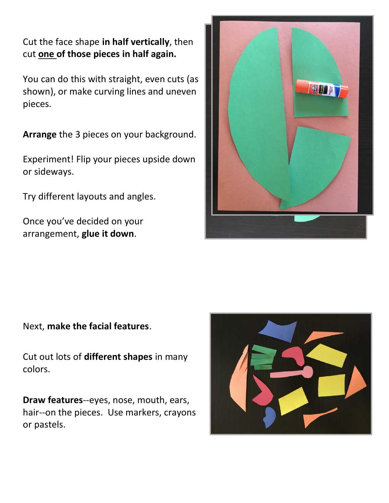Cut the face shape **in half vertically**, then cut **one of those pieces in half again.**

You can do this with straight, even cuts (as shown), or make curving lines and uneven pieces.

**Arrange** the 3 pieces on your background.

Experiment! Flip your pieces upside down or sideways.

Try different layouts and angles.

Once you've decided on your arrangement, **glue it down**.



Next, **make the facial features**.

Cut out lots of **different shapes** in many colors.

**Draw features**--eyes, nose, mouth, ears, hair--on the pieces. Use markers, crayons or pastels.

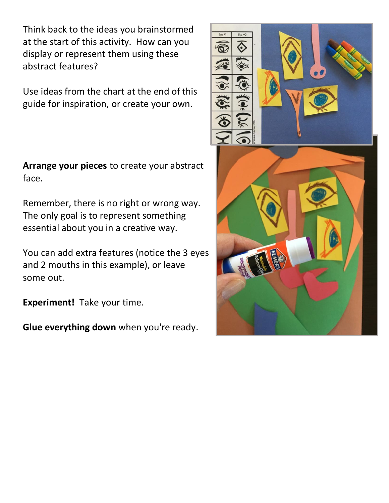Think back to the ideas you brainstormed at the start of this activity. How can you display or represent them using these abstract features?

Use ideas from the chart at the end of this guide for inspiration, or create your own.

**Arrange your pieces** to create your abstract face.

Remember, there is no right or wrong way. The only goal is to represent something essential about you in a creative way.

You can add extra features (notice the 3 eyes and 2 mouths in this example), or leave some out.

**Experiment!** Take your time.

**Glue everything down** when you're ready.

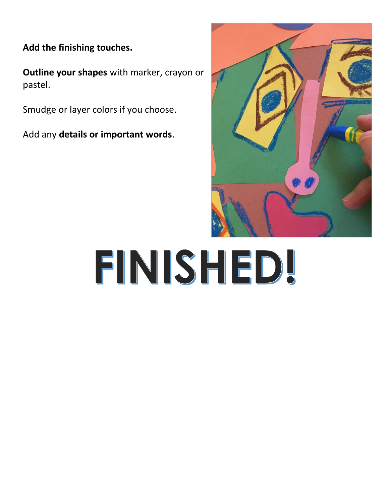**Add the finishing touches.**

**Outline your shapes** with marker, crayon or pastel.

Smudge or layer colors if you choose.

Add any **details or important words**.



# FINISHED!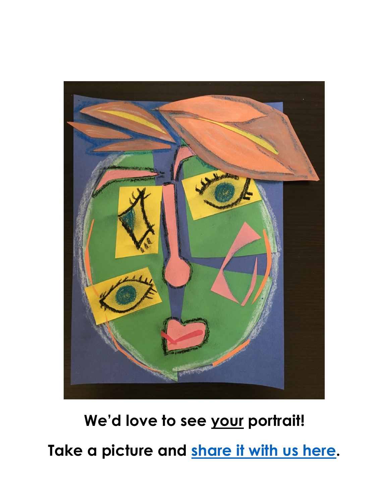

## **We'd love to see your portrait!**

**Take a picture and [share it with us here.](https://cap.ucla.edu/aia_submissions/)**